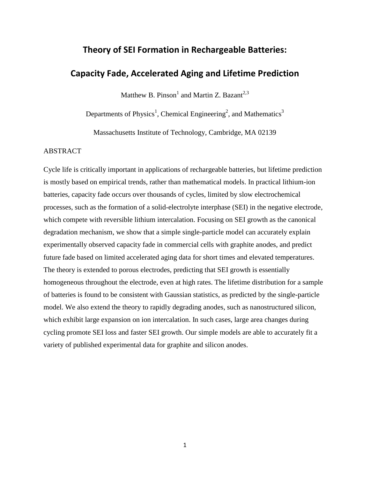# **Theory of SEI Formation in Rechargeable Batteries:**

## **Capacity Fade, Accelerated Aging and Lifetime Prediction**

Matthew B. Pinson $^1$  and Martin Z. Bazant<sup>2,3</sup>

Departments of Physics<sup>1</sup>, Chemical Engineering<sup>2</sup>, and Mathematics<sup>3</sup>

Massachusetts Institute of Technology, Cambridge, MA 02139

## ABSTRACT

Cycle life is critically important in applications of rechargeable batteries, but lifetime prediction is mostly based on empirical trends, rather than mathematical models. In practical lithium-ion batteries, capacity fade occurs over thousands of cycles, limited by slow electrochemical processes, such as the formation of a solid-electrolyte interphase (SEI) in the negative electrode, which compete with reversible lithium intercalation. Focusing on SEI growth as the canonical degradation mechanism, we show that a simple single-particle model can accurately explain experimentally observed capacity fade in commercial cells with graphite anodes, and predict future fade based on limited accelerated aging data for short times and elevated temperatures. The theory is extended to porous electrodes, predicting that SEI growth is essentially homogeneous throughout the electrode, even at high rates. The lifetime distribution for a sample of batteries is found to be consistent with Gaussian statistics, as predicted by the single-particle model. We also extend the theory to rapidly degrading anodes, such as nanostructured silicon, which exhibit large expansion on ion intercalation. In such cases, large area changes during cycling promote SEI loss and faster SEI growth. Our simple models are able to accurately fit a variety of published experimental data for graphite and silicon anodes.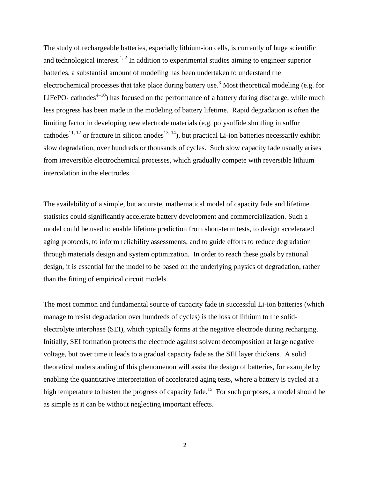The study of rechargeable batteries, especially lithium-ion cells, is currently of huge scientific and technological interest.<sup>1, 2</sup> In addition to experimental studies aiming to engineer superior batteries, a substantial amount of modeling has been undertaken to understand the electrochemical processes that take place during battery use.<sup>3</sup> Most theoretical modeling (e.g. for LiFePO<sub>4</sub> cathodes<sup>4-10</sup>) has focused on the performance of a battery during discharge, while much less progress has been made in the modeling of battery lifetime. Rapid degradation is often the limiting factor in developing new electrode materials (e.g. polysulfide shuttling in sulfur cathodes<sup>11, 12</sup> or fracture in silicon anodes<sup>13, 14</sup>), but practical Li-ion batteries necessarily exhibit slow degradation, over hundreds or thousands of cycles. Such slow capacity fade usually arises from irreversible electrochemical processes, which gradually compete with reversible lithium intercalation in the electrodes.

The availability of a simple, but accurate, mathematical model of capacity fade and lifetime statistics could significantly accelerate battery development and commercialization. Such a model could be used to enable lifetime prediction from short-term tests, to design accelerated aging protocols, to inform reliability assessments, and to guide efforts to reduce degradation through materials design and system optimization. In order to reach these goals by rational design, it is essential for the model to be based on the underlying physics of degradation, rather than the fitting of empirical circuit models.

The most common and fundamental source of capacity fade in successful Li-ion batteries (which manage to resist degradation over hundreds of cycles) is the loss of lithium to the solidelectrolyte interphase (SEI), which typically forms at the negative electrode during recharging. Initially, SEI formation protects the electrode against solvent decomposition at large negative voltage, but over time it leads to a gradual capacity fade as the SEI layer thickens. A solid theoretical understanding of this phenomenon will assist the design of batteries, for example by enabling the quantitative interpretation of accelerated aging tests, where a battery is cycled at a high temperature to hasten the progress of capacity fade.<sup>15</sup> For such purposes, a model should be as simple as it can be without neglecting important effects.

2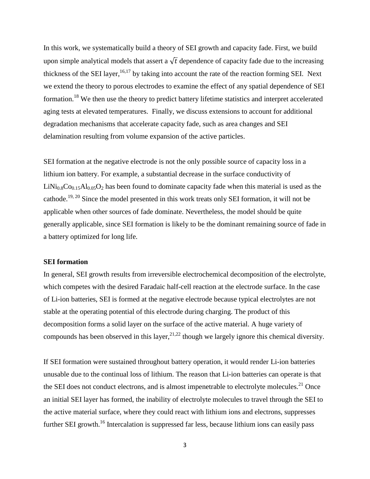In this work, we systematically build a theory of SEI growth and capacity fade. First, we build upon simple analytical models that assert a  $\sqrt{t}$  dependence of capacity fade due to the increasing thickness of the SEI layer,  $^{16,17}$  by taking into account the rate of the reaction forming SEI. Next we extend the theory to porous electrodes to examine the effect of any spatial dependence of SEI formation.<sup>18</sup> We then use the theory to predict battery lifetime statistics and interpret accelerated aging tests at elevated temperatures. Finally, we discuss extensions to account for additional degradation mechanisms that accelerate capacity fade, such as area changes and SEI delamination resulting from volume expansion of the active particles.

SEI formation at the negative electrode is not the only possible source of capacity loss in a lithium ion battery. For example, a substantial decrease in the surface conductivity of  $LiNi<sub>0.8</sub>Co<sub>0.15</sub>Al<sub>0.05</sub>O<sub>2</sub> has been found to dominate capacity fade when this material is used as the$ cathode.19, 20 Since the model presented in this work treats only SEI formation, it will not be applicable when other sources of fade dominate. Nevertheless, the model should be quite generally applicable, since SEI formation is likely to be the dominant remaining source of fade in a battery optimized for long life.

## **SEI formation**

In general, SEI growth results from irreversible electrochemical decomposition of the electrolyte, which competes with the desired Faradaic half-cell reaction at the electrode surface. In the case of Li-ion batteries, SEI is formed at the negative electrode because typical electrolytes are not stable at the operating potential of this electrode during charging. The product of this decomposition forms a solid layer on the surface of the active material. A huge variety of compounds has been observed in this layer,  $2^{1,22}$  though we largely ignore this chemical diversity.

If SEI formation were sustained throughout battery operation, it would render Li-ion batteries unusable due to the continual loss of lithium. The reason that Li-ion batteries can operate is that the SEI does not conduct electrons, and is almost impenetrable to electrolyte molecules.<sup>21</sup> Once an initial SEI layer has formed, the inability of electrolyte molecules to travel through the SEI to the active material surface, where they could react with lithium ions and electrons, suppresses further SEI growth.<sup>16</sup> Intercalation is suppressed far less, because lithium ions can easily pass

3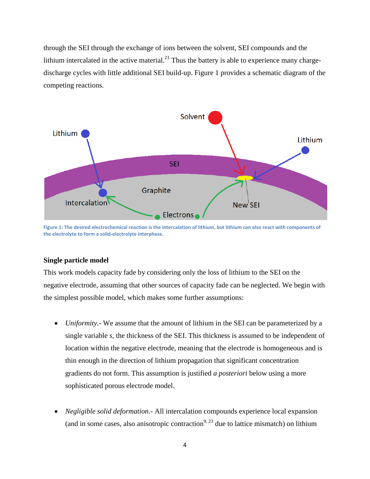through the SEI through the exchange of ions between the solvent, SEI compounds and the lithium intercalated in the active material.<sup>21</sup> Thus the battery is able to experience many chargedischarge cycles with little additional SEI build-up. Figure 1 provides a schematic diagram of the competing reactions.



**Figure 1: The desired electrochemical reaction is the intercalation of lithium, but lithium can also react with components of the electrolyte to form a solid-electrolyte interphase.**

## **Single particle model**

This work models capacity fade by considering only the loss of lithium to the SEI on the negative electrode, assuming that other sources of capacity fade can be neglected. We begin with the simplest possible model, which makes some further assumptions:

- *Uniformity.* We assume that the amount of lithium in the SEI can be parameterized by a single variable *s*, the thickness of the SEI. This thickness is assumed to be independent of location within the negative electrode, meaning that the electrode is homogeneous and is thin enough in the direction of lithium propagation that significant concentration gradients do not form. This assumption is justified *a posteriori* below using a more sophisticated porous electrode model.
- *Negligible solid deformation.* All intercalation compounds experience local expansion (and in some cases, also anisotropic contraction<sup>9, 23</sup> due to lattice mismatch) on lithium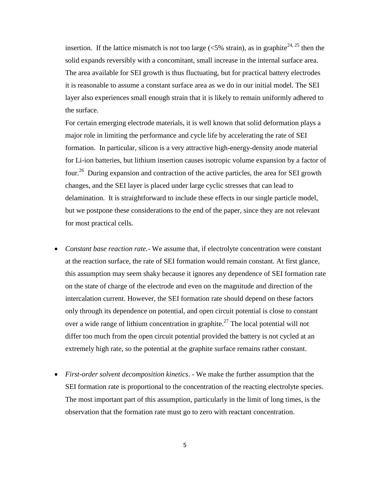insertion. If the lattice mismatch is not too large ( $\langle 5\%$  strain), as in graphite<sup>24, 25</sup> then the solid expands reversibly with a concomitant, small increase in the internal surface area. The area available for SEI growth is thus fluctuating, but for practical battery electrodes it is reasonable to assume a constant surface area as we do in our initial model. The SEI layer also experiences small enough strain that it is likely to remain uniformly adhered to the surface.

For certain emerging electrode materials, it is well known that solid deformation plays a major role in limiting the performance and cycle life by accelerating the rate of SEI formation. In particular, silicon is a very attractive high-energy-density anode material for Li-ion batteries, but lithium insertion causes isotropic volume expansion by a factor of four.<sup>26</sup> During expansion and contraction of the active particles, the area for SEI growth changes, and the SEI layer is placed under large cyclic stresses that can lead to delamination. It is straightforward to include these effects in our single particle model, but we postpone these considerations to the end of the paper, since they are not relevant for most practical cells.

- *Constant base reaction rate.* We assume that, if electrolyte concentration were constant at the reaction surface, the rate of SEI formation would remain constant. At first glance, this assumption may seem shaky because it ignores any dependence of SEI formation rate on the state of charge of the electrode and even on the magnitude and direction of the intercalation current. However, the SEI formation rate should depend on these factors only through its dependence on potential, and open circuit potential is close to constant over a wide range of lithium concentration in graphite.<sup>27</sup> The local potential will not differ too much from the open circuit potential provided the battery is not cycled at an extremely high rate, so the potential at the graphite surface remains rather constant.
- *First-order solvent decomposition kinetics*. We make the further assumption that the SEI formation rate is proportional to the concentration of the reacting electrolyte species. The most important part of this assumption, particularly in the limit of long times, is the observation that the formation rate must go to zero with reactant concentration.

5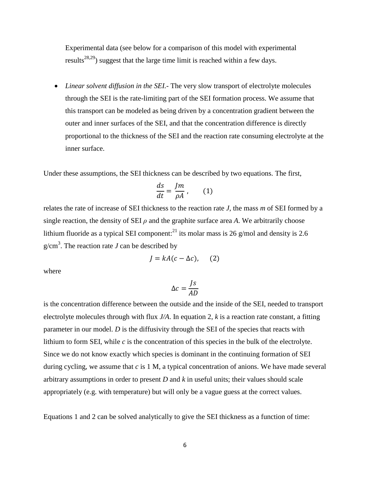Experimental data (see below for a comparison of this model with experimental results<sup>28,29</sup>) suggest that the large time limit is reached within a few days.

 *Linear solvent diffusion in the SEI.*- The very slow transport of electrolyte molecules through the SEI is the rate-limiting part of the SEI formation process. We assume that this transport can be modeled as being driven by a concentration gradient between the outer and inner surfaces of the SEI, and that the concentration difference is directly proportional to the thickness of the SEI and the reaction rate consuming electrolyte at the inner surface.

Under these assumptions, the SEI thickness can be described by two equations. The first,

$$
\frac{ds}{dt} = \frac{Jm}{\rho A}, \qquad (1)
$$

relates the rate of increase of SEI thickness to the reaction rate *J*, the mass *m* of SEI formed by a single reaction, the density of SEI  $\rho$  and the graphite surface area A. We arbitrarily choose lithium fluoride as a typical SEI component:<sup>21</sup> its molar mass is 26 g/mol and density is 2.6  $g/cm<sup>3</sup>$ . The reaction rate *J* can be described by

$$
J = kA(c - \Delta c), \quad (2)
$$

where

$$
\Delta c = \frac{Js}{AD}
$$

is the concentration difference between the outside and the inside of the SEI, needed to transport electrolyte molecules through with flux *J/A*. In equation 2, *k* is a reaction rate constant, a fitting parameter in our model. *D* is the diffusivity through the SEI of the species that reacts with lithium to form SEI, while *c* is the concentration of this species in the bulk of the electrolyte. Since we do not know exactly which species is dominant in the continuing formation of SEI during cycling, we assume that *c* is 1 M, a typical concentration of anions. We have made several arbitrary assumptions in order to present *D* and *k* in useful units; their values should scale appropriately (e.g. with temperature) but will only be a vague guess at the correct values.

Equations 1 and 2 can be solved analytically to give the SEI thickness as a function of time: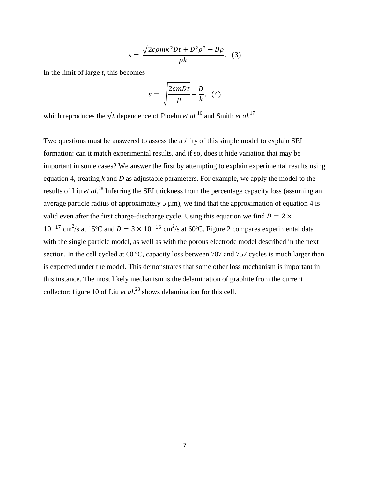$$
s = \frac{\sqrt{2c\rho m k^2 Dt + D^2 \rho^2} - D\rho}{\rho k}.
$$
 (3)

In the limit of large *t*, this becomes

$$
s = \sqrt{\frac{2cmDt}{\rho}} - \frac{D}{k}, \quad (4)
$$

which reproduces the  $\sqrt{t}$  dependence of Ploehn *et al.*<sup>16</sup> and Smith *et al.*<sup>17</sup>

Two questions must be answered to assess the ability of this simple model to explain SEI formation: can it match experimental results, and if so, does it hide variation that may be important in some cases? We answer the first by attempting to explain experimental results using equation 4, treating *k* and *D* as adjustable parameters. For example, we apply the model to the results of Liu *et al.* <sup>28</sup> Inferring the SEI thickness from the percentage capacity loss (assuming an average particle radius of approximately 5 µm), we find that the approximation of equation 4 is valid even after the first charge-discharge cycle. Using this equation we find  $D = 2 \times$  $10^{-17}$  cm<sup>2</sup>/s at 15<sup>o</sup>C and  $D = 3 \times 10^{-16}$  cm<sup>2</sup>/s at 60<sup>o</sup>C. Figure 2 compares experimental data with the single particle model, as well as with the porous electrode model described in the next section. In the cell cycled at 60 °C, capacity loss between 707 and 757 cycles is much larger than is expected under the model. This demonstrates that some other loss mechanism is important in this instance. The most likely mechanism is the delamination of graphite from the current collector: figure 10 of Liu *et al*. <sup>28</sup> shows delamination for this cell.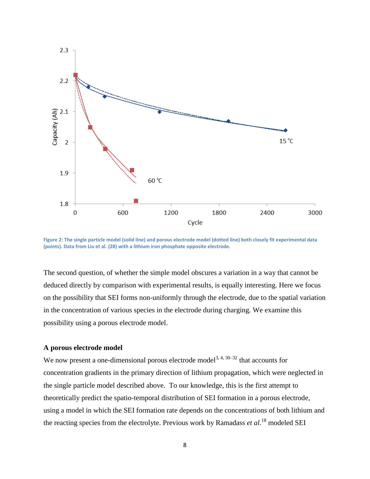

**Figure 2: The single particle model (solid line) and porous electrode model (dotted line) both closely fit experimental data (points). Data from Liu et al. (28) with a lithium iron phosphate opposite electrode.**

The second question, of whether the simple model obscures a variation in a way that cannot be deduced directly by comparison with experimental results, is equally interesting. Here we focus on the possibility that SEI forms non-uniformly through the electrode, due to the spatial variation in the concentration of various species in the electrode during charging. We examine this possibility using a porous electrode model.

## **A porous electrode model**

We now present a one-dimensional porous electrode model<sup>3, 4, 30–32</sup> that accounts for concentration gradients in the primary direction of lithium propagation, which were neglected in the single particle model described above. To our knowledge, this is the first attempt to theoretically predict the spatio-temporal distribution of SEI formation in a porous electrode, using a model in which the SEI formation rate depends on the concentrations of both lithium and the reacting species from the electrolyte. Previous work by Ramadass *et al.*<sup>18</sup> modeled SEI

8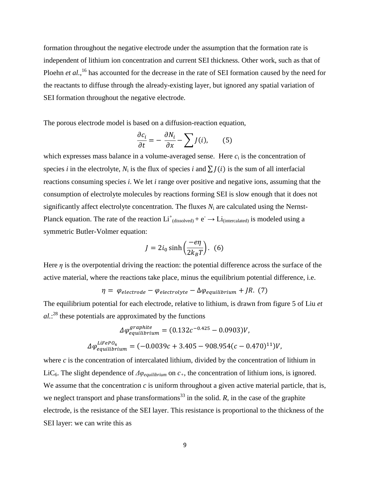formation throughout the negative electrode under the assumption that the formation rate is independent of lithium ion concentration and current SEI thickness. Other work, such as that of Ploehn *et al.*,<sup>16</sup> has accounted for the decrease in the rate of SEI formation caused by the need for the reactants to diffuse through the already-existing layer, but ignored any spatial variation of SEI formation throughout the negative electrode.

The porous electrode model is based on a diffusion-reaction equation,

$$
\frac{\partial c_i}{\partial t} = -\frac{\partial N_i}{\partial x} - \sum_j J(i),\qquad(5)
$$

which expresses mass balance in a volume-averaged sense. Here  $c_i$  is the concentration of species *i* in the electrolyte,  $N_i$  is the flux of species *i* and  $\sum J(i)$  is the sum of all interfacial reactions consuming species *i*. We let *i* range over positive and negative ions, assuming that the consumption of electrolyte molecules by reactions forming SEI is slow enough that it does not significantly affect electrolyte concentration. The fluxes  $N_i$  are calculated using the Nernst-Planck equation. The rate of the reaction  $Li^+_{(dissolved)} + e^- \rightarrow Li_{(intercalated)}$  is modeled using a symmetric Butler-Volmer equation:

$$
J = 2i_0 \sinh\left(\frac{-e\eta}{2k_B T}\right). \tag{6}
$$

Here  $\eta$  is the overpotential driving the reaction: the potential difference across the surface of the active material, where the reactions take place, minus the equilibrium potential difference, i.e.

$$
\eta = \varphi_{electrode} - \varphi_{electrolyte} - \Delta \varphi_{equilibrium} + JR. (7)
$$

The equilibrium potential for each electrode, relative to lithium, is drawn from figure 5 of Liu *et*   $al$ <sup>28</sup> these potentials are approximated by the functions

$$
\Delta \varphi_{equilibrium}^{graphite} = (0.132c^{-0.425} - 0.0903)V,
$$
  

$$
\Delta \varphi_{equilibrium}^{LifePO_4} = (-0.0039c + 3.405 - 908.954(c - 0.470)^{11})V,
$$

where *c* is the concentration of intercalated lithium, divided by the concentration of lithium in LiC<sub>6</sub>. The slight dependence of  $\Delta\varphi_{\text{equilibrium}}$  on  $c_{+}$ , the concentration of lithium ions, is ignored. We assume that the concentration  $c$  is uniform throughout a given active material particle, that is, we neglect transport and phase transformations<sup>33</sup> in the solid.  $R$ , in the case of the graphite electrode, is the resistance of the SEI layer. This resistance is proportional to the thickness of the SEI layer: we can write this as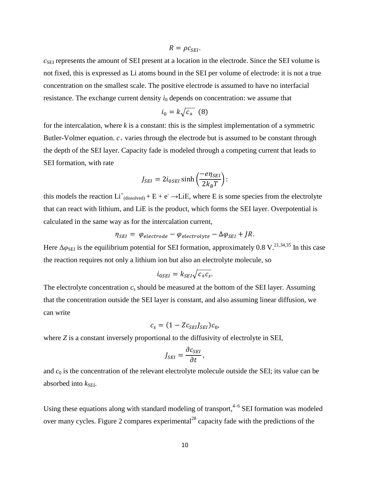$R = \rho c_{\text{SFI}}$ .

 $c_{\text{SEI}}$  represents the amount of SEI present at a location in the electrode. Since the SEI volume is not fixed, this is expressed as Li atoms bound in the SEI per volume of electrode: it is not a true concentration on the smallest scale. The positive electrode is assumed to have no interfacial resistance. The exchange current density  $i_0$  depends on concentration: we assume that

$$
i_0 = k\sqrt{c_+} \ (8)
$$

for the intercalation, where *k* is a constant: this is the simplest implementation of a symmetric Butler-Volmer equation.  $c_{+}$  varies through the electrode but is assumed to be constant through the depth of the SEI layer. Capacity fade is modeled through a competing current that leads to SEI formation, with rate

$$
J_{SEI} = 2i_{0SEI} \sinh\left(\frac{-e\eta_{SEI}}{2k_BT}\right)
$$
:

this models the reaction  $Li^{\dagger}$ <sub>(dissolved)</sub> + E + e<sup>-</sup> →LiE, where E is some species from the electrolyte that can react with lithium, and LiE is the product, which forms the SEI layer. Overpotential is calculated in the same way as for the intercalation current,

$$
\eta_{SEI} = \varphi_{electrode} - \varphi_{electrolyte} - \Delta \varphi_{SEI} + JR.
$$

Here  $\Delta\varphi_{\text{SEI}}$  is the equilibrium potential for SEI formation, approximately 0.8 V.<sup>21,34,35</sup> In this case the reaction requires not only a lithium ion but also an electrolyte molecule, so

$$
i_{0SEI} = k_{SEI} \sqrt{c_{+}c_{s}}.
$$

The electrolyte concentration  $c_s$  should be measured at the bottom of the SEI layer. Assuming that the concentration outside the SEI layer is constant, and also assuming linear diffusion, we can write

$$
c_s = (1 - Z c_{SEI} J_{SEI}) c_0,
$$

where *Z* is a constant inversely proportional to the diffusivity of electrolyte in SEI,

$$
J_{SEI} = \frac{\partial c_{SEI}}{\partial t}
$$

and  $c_0$  is the concentration of the relevant electrolyte molecule outside the SEI; its value can be absorbed into  $k_{\text{SEI}}$ .

Using these equations along with standard modeling of transport,<sup>4-6</sup> SEI formation was modeled over many cycles. Figure 2 compares experimental<sup>28</sup> capacity fade with the predictions of the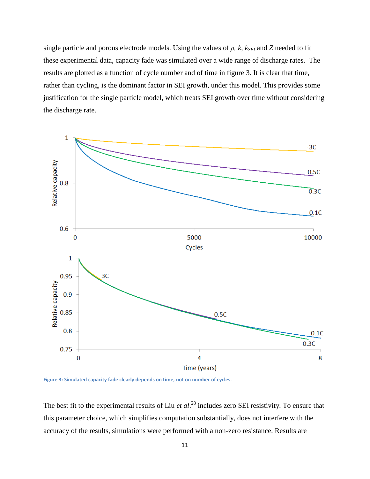single particle and porous electrode models. Using the values of  $\rho$ ,  $k$ ,  $k_{\text{SEI}}$  and  $Z$  needed to fit these experimental data, capacity fade was simulated over a wide range of discharge rates. The results are plotted as a function of cycle number and of time in figure 3. It is clear that time, rather than cycling, is the dominant factor in SEI growth, under this model. This provides some justification for the single particle model, which treats SEI growth over time without considering the discharge rate.



**Figure 3: Simulated capacity fade clearly depends on time, not on number of cycles.**

The best fit to the experimental results of Liu *et al*. <sup>28</sup> includes zero SEI resistivity. To ensure that this parameter choice, which simplifies computation substantially, does not interfere with the accuracy of the results, simulations were performed with a non-zero resistance. Results are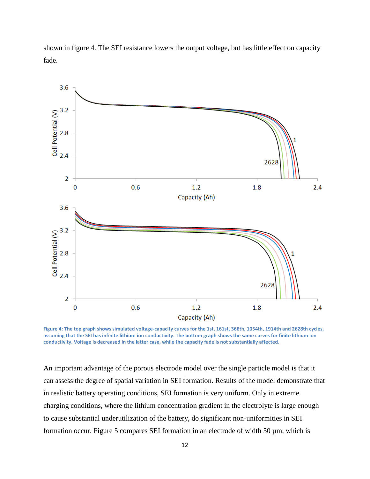

shown in figure 4. The SEI resistance lowers the output voltage, but has little effect on capacity fade.

**Figure 4: The top graph shows simulated voltage-capacity curves for the 1st, 161st, 366th, 1054th, 1914th and 2628th cycles, assuming that the SEI has infinite lithium ion conductivity. The bottom graph shows the same curves for finite lithium ion conductivity. Voltage is decreased in the latter case, while the capacity fade is not substantially affected.**

An important advantage of the porous electrode model over the single particle model is that it can assess the degree of spatial variation in SEI formation. Results of the model demonstrate that in realistic battery operating conditions, SEI formation is very uniform. Only in extreme charging conditions, where the lithium concentration gradient in the electrolyte is large enough to cause substantial underutilization of the battery, do significant non-uniformities in SEI formation occur. Figure 5 compares SEI formation in an electrode of width 50 µm, which is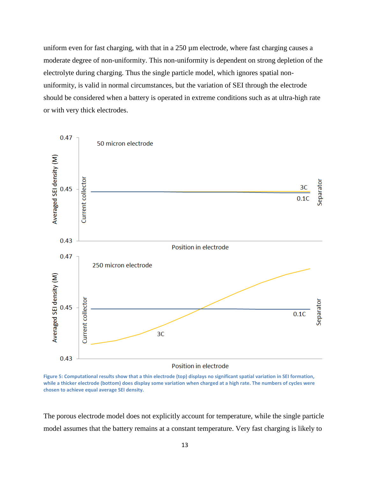uniform even for fast charging, with that in a  $250 \mu m$  electrode, where fast charging causes a moderate degree of non-uniformity. This non-uniformity is dependent on strong depletion of the electrolyte during charging. Thus the single particle model, which ignores spatial nonuniformity, is valid in normal circumstances, but the variation of SEI through the electrode should be considered when a battery is operated in extreme conditions such as at ultra-high rate or with very thick electrodes.



**Figure 5: Computational results show that a thin electrode (top) displays no significant spatial variation in SEI formation, while a thicker electrode (bottom) does display some variation when charged at a high rate. The numbers of cycles were chosen to achieve equal average SEI density.**

The porous electrode model does not explicitly account for temperature, while the single particle model assumes that the battery remains at a constant temperature. Very fast charging is likely to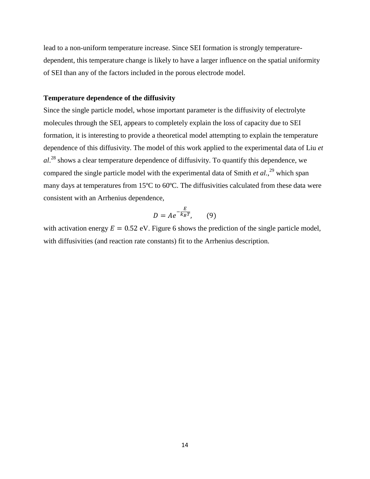lead to a non-uniform temperature increase. Since SEI formation is strongly temperaturedependent, this temperature change is likely to have a larger influence on the spatial uniformity of SEI than any of the factors included in the porous electrode model.

## **Temperature dependence of the diffusivity**

Since the single particle model, whose important parameter is the diffusivity of electrolyte molecules through the SEI, appears to completely explain the loss of capacity due to SEI formation, it is interesting to provide a theoretical model attempting to explain the temperature dependence of this diffusivity. The model of this work applied to the experimental data of Liu *et al*. <sup>28</sup> shows a clear temperature dependence of diffusivity. To quantify this dependence, we compared the single particle model with the experimental data of Smith *et al.*<sup>29</sup> which span many days at temperatures from 15ºC to 60ºC. The diffusivities calculated from these data were consistent with an Arrhenius dependence,

$$
D = Ae^{-\frac{E}{k_B T}}, \qquad (9)
$$

with activation energy  $E = 0.52$  eV. Figure 6 shows the prediction of the single particle model, with diffusivities (and reaction rate constants) fit to the Arrhenius description.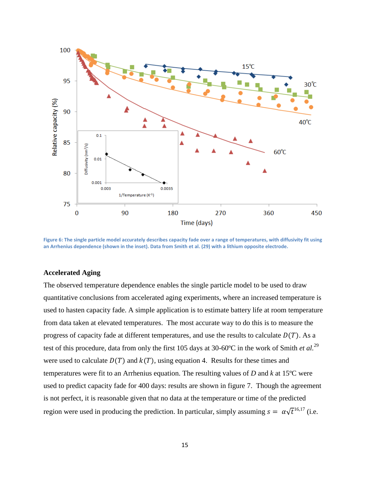

**Figure 6: The single particle model accurately describes capacity fade over a range of temperatures, with diffusivity fit using an Arrhenius dependence (shown in the inset). Data from Smith et al. (29) with a lithium opposite electrode.**

## **Accelerated Aging**

The observed temperature dependence enables the single particle model to be used to draw quantitative conclusions from accelerated aging experiments, where an increased temperature is used to hasten capacity fade. A simple application is to estimate battery life at room temperature from data taken at elevated temperatures. The most accurate way to do this is to measure the progress of capacity fade at different temperatures, and use the results to calculate  $D(T)$ . As a test of this procedure, data from only the first 105 days at 30-60ºC in the work of Smith *et al.*<sup>29</sup> were used to calculate  $D(T)$  and  $k(T)$ , using equation 4. Results for these times and temperatures were fit to an Arrhenius equation. The resulting values of *D* and *k* at 15ºC were used to predict capacity fade for 400 days: results are shown in figure 7. Though the agreement is not perfect, it is reasonable given that no data at the temperature or time of the predicted region were used in producing the prediction. In particular, simply assuming  $s = \alpha \sqrt{t}^{16,17}$  (i.e.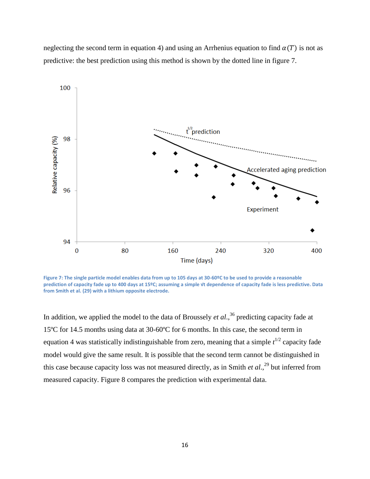neglecting the second term in equation 4) and using an Arrhenius equation to find  $\alpha(T)$  is not as predictive: the best prediction using this method is shown by the dotted line in figure 7.



**Figure 7: The single particle model enables data from up to 105 days at 30-60ºC to be used to provide a reasonable prediction of capacity fade up to 400 days at 15ºC; assuming a simple √t dependence of capacity fade is less predictive. Data from Smith et al. (29) with a lithium opposite electrode.**

In addition, we applied the model to the data of Broussely *et al*., <sup>36</sup> predicting capacity fade at 15ºC for 14.5 months using data at 30-60ºC for 6 months. In this case, the second term in equation 4 was statistically indistinguishable from zero, meaning that a simple  $t^{1/2}$  capacity fade model would give the same result. It is possible that the second term cannot be distinguished in this case because capacity loss was not measured directly, as in Smith *et al*., <sup>29</sup> but inferred from measured capacity. Figure 8 compares the prediction with experimental data.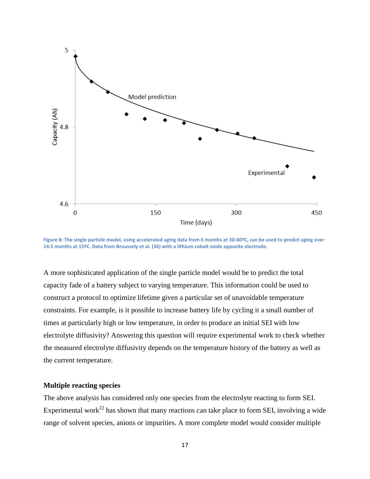

**Figure 8: The single particle model, using accelerated aging data from 6 months at 30-60ºC, can be used to predict aging over 14.5 months at 15ºC. Data from Broussely et al. (36) with a lithium cobalt oxide opposite electrode.**

A more sophisticated application of the single particle model would be to predict the total capacity fade of a battery subject to varying temperature. This information could be used to construct a protocol to optimize lifetime given a particular set of unavoidable temperature constraints. For example, is it possible to increase battery life by cycling it a small number of times at particularly high or low temperature, in order to produce an initial SEI with low electrolyte diffusivity? Answering this question will require experimental work to check whether the measured electrolyte diffusivity depends on the temperature history of the battery as well as the current temperature.

## **Multiple reacting species**

The above analysis has considered only one species from the electrolyte reacting to form SEI. Experimental work<sup>22</sup> has shown that many reactions can take place to form SEI, involving a wide range of solvent species, anions or impurities. A more complete model would consider multiple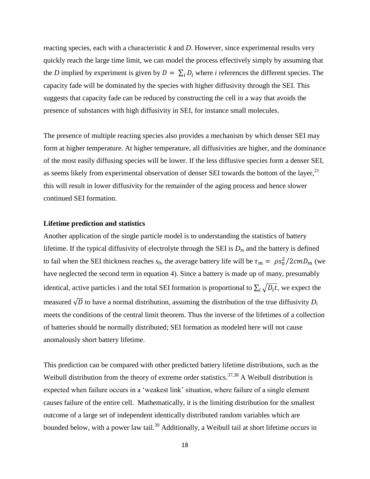reacting species, each with a characteristic *k* and *D*. However, since experimental results very quickly reach the large time limit, we can model the process effectively simply by assuming that the *D* implied by experiment is given by  $D = \sum_i D_i$  where *i* references the different species. The capacity fade will be dominated by the species with higher diffusivity through the SEI. This suggests that capacity fade can be reduced by constructing the cell in a way that avoids the presence of substances with high diffusivity in SEI, for instance small molecules.

The presence of multiple reacting species also provides a mechanism by which denser SEI may form at higher temperature. At higher temperature, all diffusivities are higher, and the dominance of the most easily diffusing species will be lower. If the less diffusive species form a denser SEI, as seems likely from experimental observation of denser SEI towards the bottom of the layer,  $2<sup>1</sup>$ this will result in lower diffusivity for the remainder of the aging process and hence slower continued SEI formation.

#### **Lifetime prediction and statistics**

Another application of the single particle model is to understanding the statistics of battery lifetime. If the typical diffusivity of electrolyte through the SEI is  $D<sub>m</sub>$  and the battery is defined to fail when the SEI thickness reaches  $s_0$ , the average battery life will be  $\tau_m = \rho s_0^2/2cmD_m$  (we have neglected the second term in equation 4). Since a battery is made up of many, presumably identical, active particles i and the total SEI formation is proportional to  $\sum_i \sqrt{D_i t}$ , we expect the measured  $\sqrt{D}$  to have a normal distribution, assuming the distribution of the true diffusivity  $D_i$ meets the conditions of the central limit theorem. Thus the inverse of the lifetimes of a collection of batteries should be normally distributed; SEI formation as modeled here will not cause anomalously short battery lifetime.

This prediction can be compared with other predicted battery lifetime distributions, such as the Weibull distribution from the theory of extreme order statistics.<sup>37,38</sup> A Weibull distribution is expected when failure occurs in a 'weakest link' situation, where failure of a single element causes failure of the entire cell. Mathematically, it is the limiting distribution for the smallest outcome of a large set of independent identically distributed random variables which are bounded below, with a power law tail.<sup>39</sup> Additionally, a Weibull tail at short lifetime occurs in

18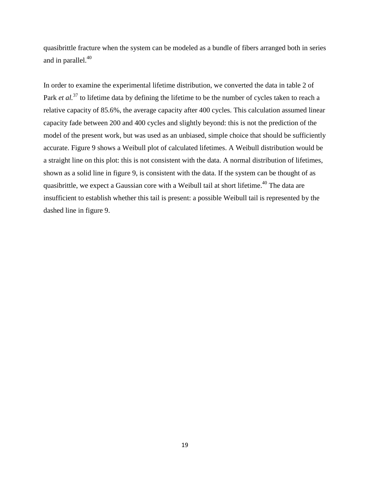quasibrittle fracture when the system can be modeled as a bundle of fibers arranged both in series and in parallel. 40

In order to examine the experimental lifetime distribution, we converted the data in table 2 of Park *et al.*<sup>37</sup> to lifetime data by defining the lifetime to be the number of cycles taken to reach a relative capacity of 85.6%, the average capacity after 400 cycles. This calculation assumed linear capacity fade between 200 and 400 cycles and slightly beyond: this is not the prediction of the model of the present work, but was used as an unbiased, simple choice that should be sufficiently accurate. Figure 9 shows a Weibull plot of calculated lifetimes. A Weibull distribution would be a straight line on this plot: this is not consistent with the data. A normal distribution of lifetimes, shown as a solid line in figure 9, is consistent with the data. If the system can be thought of as quasibrittle, we expect a Gaussian core with a Weibull tail at short lifetime.<sup>40</sup> The data are insufficient to establish whether this tail is present: a possible Weibull tail is represented by the dashed line in figure 9.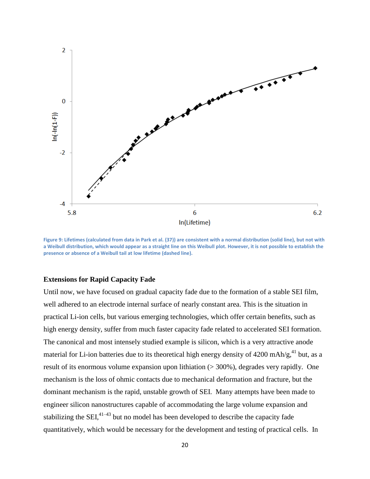

**Figure 9: Lifetimes (calculated from data in Park et al. (37)) are consistent with a normal distribution (solid line), but not with a Weibull distribution, which would appear as a straight line on this Weibull plot. However, it is not possible to establish the presence or absence of a Weibull tail at low lifetime (dashed line).**

## **Extensions for Rapid Capacity Fade**

Until now, we have focused on gradual capacity fade due to the formation of a stable SEI film, well adhered to an electrode internal surface of nearly constant area. This is the situation in practical Li-ion cells, but various emerging technologies, which offer certain benefits, such as high energy density, suffer from much faster capacity fade related to accelerated SEI formation. The canonical and most intensely studied example is silicon, which is a very attractive anode material for Li-ion batteries due to its theoretical high energy density of  $4200 \text{ mA}$ h/g, $41 \text{ but, as a}$ result of its enormous volume expansion upon lithiation (> 300%), degrades very rapidly. One mechanism is the loss of ohmic contacts due to mechanical deformation and fracture, but the dominant mechanism is the rapid, unstable growth of SEI. Many attempts have been made to engineer silicon nanostructures capable of accommodating the large volume expansion and stabilizing the  $SEI<sub>1</sub><sup>41-43</sup>$  but no model has been developed to describe the capacity fade quantitatively, which would be necessary for the development and testing of practical cells. In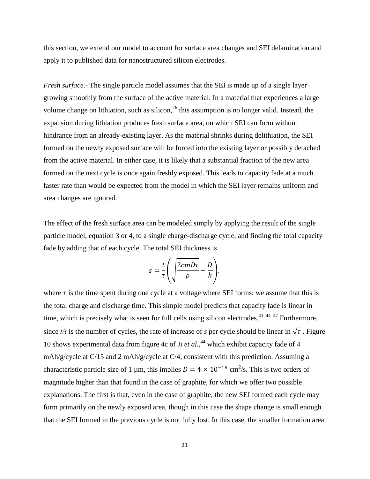this section, we extend our model to account for surface area changes and SEI delamination and apply it to published data for nanostructured silicon electrodes.

*Fresh surface.-* The single particle model assumes that the SEI is made up of a single layer growing smoothly from the surface of the active material. In a material that experiences a large volume change on lithiation, such as silicon,  $^{26}$  this assumption is no longer valid. Instead, the expansion during lithiation produces fresh surface area, on which SEI can form without hindrance from an already-existing layer. As the material shrinks during delithiation, the SEI formed on the newly exposed surface will be forced into the existing layer or possibly detached from the active material. In either case, it is likely that a substantial fraction of the new area formed on the next cycle is once again freshly exposed. This leads to capacity fade at a much faster rate than would be expected from the model in which the SEI layer remains uniform and area changes are ignored.

The effect of the fresh surface area can be modeled simply by applying the result of the single particle model, equation 3 or 4, to a single charge-discharge cycle, and finding the total capacity fade by adding that of each cycle. The total SEI thickness is

$$
s = \frac{t}{\tau} \left( \sqrt{\frac{2cmD\tau}{\rho}} - \frac{D}{k} \right).
$$

where  $\tau$  is the time spent during one cycle at a voltage where SEI forms: we assume that this is the total charge and discharge time. This simple model predicts that capacity fade is linear in time, which is precisely what is seen for full cells using silicon electrodes.<sup>41, 44–47</sup> Furthermore, since  $t/\tau$  is the number of cycles, the rate of increase of *s* per cycle should be linear in  $\sqrt{\tau}$ . Figure 10 shows experimental data from figure 4c of Ji *et al.*, <sup>44</sup> which exhibit capacity fade of 4 mAh/g/cycle at C/15 and 2 mAh/g/cycle at C/4, consistent with this prediction. Assuming a characteristic particle size of 1 µm, this implies  $D = 4 \times 10^{-15}$  cm<sup>2</sup>/s. This is two orders of magnitude higher than that found in the case of graphite, for which we offer two possible explanations. The first is that, even in the case of graphite, the new SEI formed each cycle may form primarily on the newly exposed area, though in this case the shape change is small enough that the SEI formed in the previous cycle is not fully lost. In this case, the smaller formation area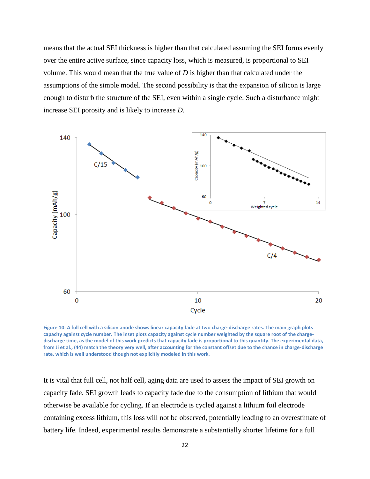means that the actual SEI thickness is higher than that calculated assuming the SEI forms evenly over the entire active surface, since capacity loss, which is measured, is proportional to SEI volume. This would mean that the true value of *D* is higher than that calculated under the assumptions of the simple model. The second possibility is that the expansion of silicon is large enough to disturb the structure of the SEI, even within a single cycle. Such a disturbance might increase SEI porosity and is likely to increase *D*.



**Figure 10: A full cell with a silicon anode shows linear capacity fade at two charge-discharge rates. The main graph plots capacity against cycle number. The inset plots capacity against cycle number weighted by the square root of the chargedischarge time, as the model of this work predicts that capacity fade is proportional to this quantity. The experimental data, from Ji et al., (44) match the theory very well, after accounting for the constant offset due to the chance in charge-discharge rate, which is well understood though not explicitly modeled in this work.**

It is vital that full cell, not half cell, aging data are used to assess the impact of SEI growth on capacity fade. SEI growth leads to capacity fade due to the consumption of lithium that would otherwise be available for cycling. If an electrode is cycled against a lithium foil electrode containing excess lithium, this loss will not be observed, potentially leading to an overestimate of battery life. Indeed, experimental results demonstrate a substantially shorter lifetime for a full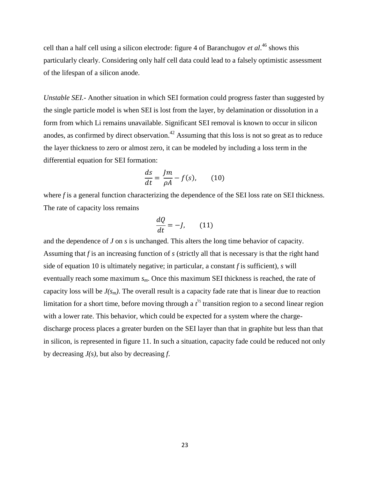cell than a half cell using a silicon electrode: figure 4 of Baranchugov *et al*. <sup>46</sup> shows this particularly clearly. Considering only half cell data could lead to a falsely optimistic assessment of the lifespan of a silicon anode.

*Unstable SEI.-* Another situation in which SEI formation could progress faster than suggested by the single particle model is when SEI is lost from the layer, by delamination or dissolution in a form from which Li remains unavailable. Significant SEI removal is known to occur in silicon anodes, as confirmed by direct observation.<sup>42</sup> Assuming that this loss is not so great as to reduce the layer thickness to zero or almost zero, it can be modeled by including a loss term in the differential equation for SEI formation:

$$
\frac{ds}{dt} = \frac{Jm}{\rho A} - f(s),\qquad(10)
$$

where *f* is a general function characterizing the dependence of the SEI loss rate on SEI thickness. The rate of capacity loss remains

$$
\frac{dQ}{dt} = -J,\qquad(11)
$$

and the dependence of *J* on *s* is unchanged. This alters the long time behavior of capacity. Assuming that *f* is an increasing function of *s* (strictly all that is necessary is that the right hand side of equation 10 is ultimately negative; in particular, a constant *f* is sufficient), *s* will eventually reach some maximum *sm*. Once this maximum SEI thickness is reached, the rate of capacity loss will be  $J(s_m)$ . The overall result is a capacity fade rate that is linear due to reaction limitation for a short time, before moving through a  $t^{\frac{1}{2}}$  transition region to a second linear region with a lower rate. This behavior, which could be expected for a system where the chargedischarge process places a greater burden on the SEI layer than that in graphite but less than that in silicon, is represented in figure 11. In such a situation, capacity fade could be reduced not only by decreasing *J(s)*, but also by decreasing *f*.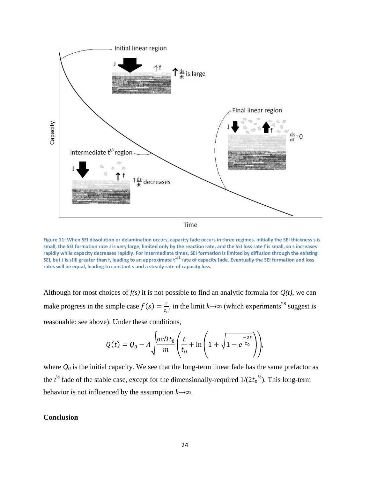

**Figure 11: When SEI dissolution or delamination occurs, capacity fade occurs in three regimes. Initially the SEI thickness s is small, the SEI formation rate J is very large, limited only by the reaction rate, and the SEI loss rate f is small, so s increases rapidly while capacity decreases rapidly. For intermediate times, SEI formation is limited by diffusion through the existing SEI, but J is still greater than f, leading to an approximate t1/2 rate of capacity fade. Eventually the SEI formation and loss rates will be equal, leading to constant s and a steady rate of capacity loss.**

Although for most choices of  $f(s)$  it is not possible to find an analytic formula for  $Q(t)$ , we can make progress in the simple case  $f(s) = \frac{s}{s}$  $\frac{s}{t_0}$ , in the limit  $k \rightarrow \infty$  (which experiments<sup>28</sup> suggest is reasonable: see above). Under these conditions,

$$
Q(t) = Q_0 - A \sqrt{\frac{\rho c D t_0}{m}} \left( \frac{t}{t_0} + \ln \left( 1 + \sqrt{1 - e^{\frac{-2t}{t_0}}} \right) \right),
$$

where  $Q_0$  is the initial capacity. We see that the long-term linear fade has the same prefactor as the  $t^{\frac{1}{2}}$  fade of the stable case, except for the dimensionally-required  $1/(2t_0^{\frac{1}{2}})$ . This long-term behavior is not influenced by the assumption  $k \rightarrow \infty$ .

## **Conclusion**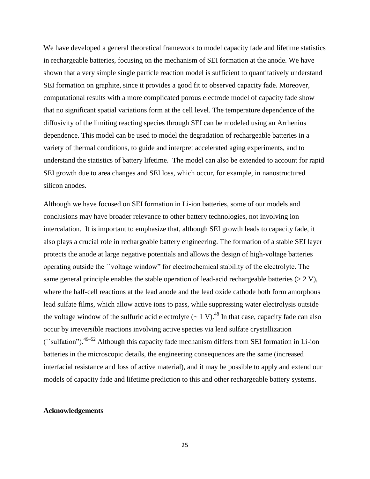We have developed a general theoretical framework to model capacity fade and lifetime statistics in rechargeable batteries, focusing on the mechanism of SEI formation at the anode. We have shown that a very simple single particle reaction model is sufficient to quantitatively understand SEI formation on graphite, since it provides a good fit to observed capacity fade. Moreover, computational results with a more complicated porous electrode model of capacity fade show that no significant spatial variations form at the cell level. The temperature dependence of the diffusivity of the limiting reacting species through SEI can be modeled using an Arrhenius dependence. This model can be used to model the degradation of rechargeable batteries in a variety of thermal conditions, to guide and interpret accelerated aging experiments, and to understand the statistics of battery lifetime. The model can also be extended to account for rapid SEI growth due to area changes and SEI loss, which occur, for example, in nanostructured silicon anodes.

Although we have focused on SEI formation in Li-ion batteries, some of our models and conclusions may have broader relevance to other battery technologies, not involving ion intercalation. It is important to emphasize that, although SEI growth leads to capacity fade, it also plays a crucial role in rechargeable battery engineering. The formation of a stable SEI layer protects the anode at large negative potentials and allows the design of high-voltage batteries operating outside the ``voltage window" for electrochemical stability of the electrolyte. The same general principle enables the stable operation of lead-acid rechargeable batteries  $(> 2 V)$ , where the half-cell reactions at the lead anode and the lead oxide cathode both form amorphous lead sulfate films, which allow active ions to pass, while suppressing water electrolysis outside the voltage window of the sulfuric acid electrolyte  $(-1 V)^{48}$  In that case, capacity fade can also occur by irreversible reactions involving active species via lead sulfate crystallization (``sulfation").49–52 Although this capacity fade mechanism differs from SEI formation in Li-ion batteries in the microscopic details, the engineering consequences are the same (increased interfacial resistance and loss of active material), and it may be possible to apply and extend our models of capacity fade and lifetime prediction to this and other rechargeable battery systems.

## **Acknowledgements**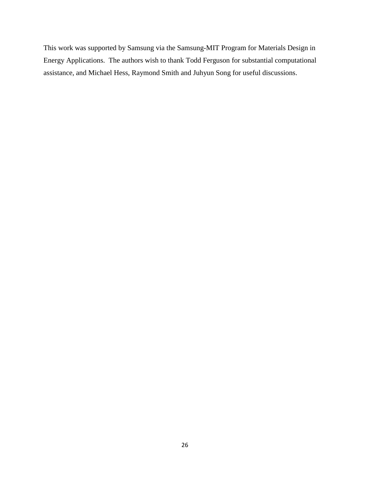This work was supported by Samsung via the Samsung-MIT Program for Materials Design in Energy Applications. The authors wish to thank Todd Ferguson for substantial computational assistance, and Michael Hess, Raymond Smith and Juhyun Song for useful discussions.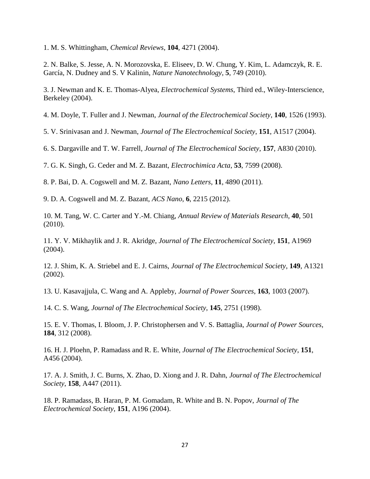1. M. S. Whittingham, *Chemical Reviews*, **104**, 4271 (2004).

2. N. Balke, S. Jesse, A. N. Morozovska, E. Eliseev, D. W. Chung, Y. Kim, L. Adamczyk, R. E. García, N. Dudney and S. V Kalinin, *Nature Nanotechnology*, **5**, 749 (2010).

3. J. Newman and K. E. Thomas-Alyea, *Electrochemical Systems*, Third ed., Wiley-Interscience, Berkeley (2004).

4. M. Doyle, T. Fuller and J. Newman, *Journal of the Electrochemical Society*, **140**, 1526 (1993).

5. V. Srinivasan and J. Newman, *Journal of The Electrochemical Society*, **151**, A1517 (2004).

6. S. Dargaville and T. W. Farrell, *Journal of The Electrochemical Society*, **157**, A830 (2010).

7. G. K. Singh, G. Ceder and M. Z. Bazant, *Electrochimica Acta*, **53**, 7599 (2008).

8. P. Bai, D. A. Cogswell and M. Z. Bazant, *Nano Letters*, **11**, 4890 (2011).

9. D. A. Cogswell and M. Z. Bazant, *ACS Nano*, **6**, 2215 (2012).

10. M. Tang, W. C. Carter and Y.-M. Chiang, *Annual Review of Materials Research*, **40**, 501 (2010).

11. Y. V. Mikhaylik and J. R. Akridge, *Journal of The Electrochemical Society*, **151**, A1969 (2004).

12. J. Shim, K. A. Striebel and E. J. Cairns, *Journal of The Electrochemical Society*, **149**, A1321 (2002).

13. U. Kasavajjula, C. Wang and A. Appleby, *Journal of Power Sources*, **163**, 1003 (2007).

14. C. S. Wang, *Journal of The Electrochemical Society*, **145**, 2751 (1998).

15. E. V. Thomas, I. Bloom, J. P. Christophersen and V. S. Battaglia, *Journal of Power Sources*, **184**, 312 (2008).

16. H. J. Ploehn, P. Ramadass and R. E. White, *Journal of The Electrochemical Society*, **151**, A456 (2004).

17. A. J. Smith, J. C. Burns, X. Zhao, D. Xiong and J. R. Dahn, *Journal of The Electrochemical Society*, **158**, A447 (2011).

18. P. Ramadass, B. Haran, P. M. Gomadam, R. White and B. N. Popov, *Journal of The Electrochemical Society*, **151**, A196 (2004).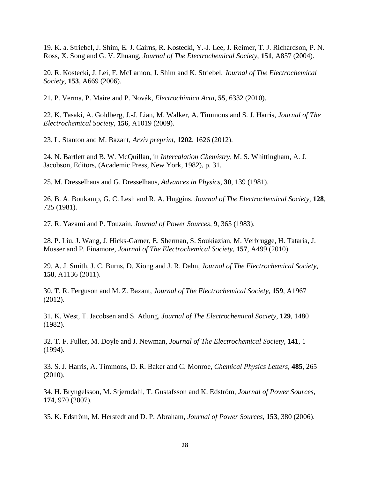19. K. a. Striebel, J. Shim, E. J. Cairns, R. Kostecki, Y.-J. Lee, J. Reimer, T. J. Richardson, P. N. Ross, X. Song and G. V. Zhuang, *Journal of The Electrochemical Society*, **151**, A857 (2004).

20. R. Kostecki, J. Lei, F. McLarnon, J. Shim and K. Striebel, *Journal of The Electrochemical Society*, **153**, A669 (2006).

21. P. Verma, P. Maire and P. Novák, *Electrochimica Acta*, **55**, 6332 (2010).

22. K. Tasaki, A. Goldberg, J.-J. Lian, M. Walker, A. Timmons and S. J. Harris, *Journal of The Electrochemical Society*, **156**, A1019 (2009).

23. L. Stanton and M. Bazant, *Arxiv preprint*, **1202**, 1626 (2012).

24. N. Bartlett and B. W. McQuillan, in *Intercalation Chemistry*, M. S. Whittingham, A. J. Jacobson, Editors, (Academic Press, New York, 1982), p. 31.

25. M. Dresselhaus and G. Dresselhaus, *Advances in Physics*, **30**, 139 (1981).

26. B. A. Boukamp, G. C. Lesh and R. A. Huggins, *Journal of The Electrochemical Society*, **128**, 725 (1981).

27. R. Yazami and P. Touzain, *Journal of Power Sources*, **9**, 365 (1983).

28. P. Liu, J. Wang, J. Hicks-Garner, E. Sherman, S. Soukiazian, M. Verbrugge, H. Tataria, J. Musser and P. Finamore, *Journal of The Electrochemical Society*, **157**, A499 (2010).

29. A. J. Smith, J. C. Burns, D. Xiong and J. R. Dahn, *Journal of The Electrochemical Society*, **158**, A1136 (2011).

30. T. R. Ferguson and M. Z. Bazant, *Journal of The Electrochemical Society*, **159**, A1967 (2012).

31. K. West, T. Jacobsen and S. Atlung, *Journal of The Electrochemical Society*, **129**, 1480 (1982).

32. T. F. Fuller, M. Doyle and J. Newman, *Journal of The Electrochemical Society*, **141**, 1 (1994).

33. S. J. Harris, A. Timmons, D. R. Baker and C. Monroe, *Chemical Physics Letters*, **485**, 265 (2010).

34. H. Bryngelsson, M. Stjerndahl, T. Gustafsson and K. Edström, *Journal of Power Sources*, **174**, 970 (2007).

35. K. Edström, M. Herstedt and D. P. Abraham, *Journal of Power Sources*, **153**, 380 (2006).